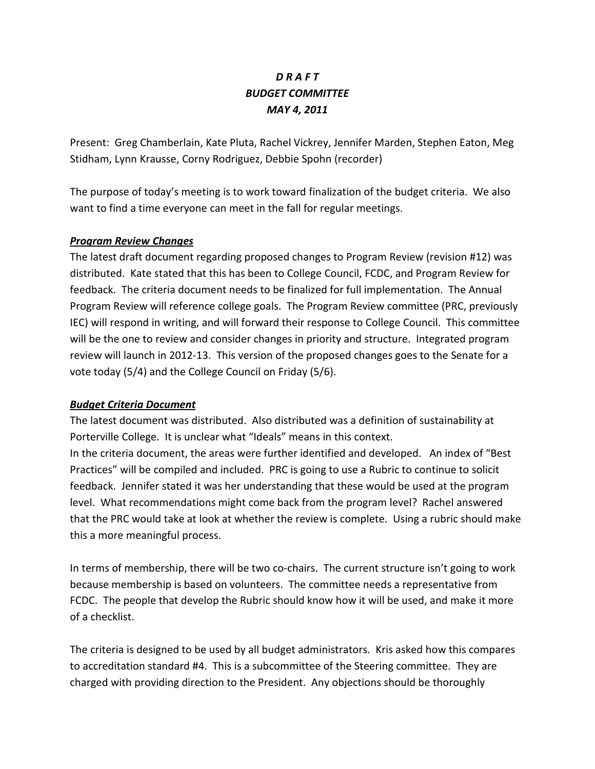## *D R A F T BUDGET COMMITTEE MAY 4, 2011*

Present: Greg Chamberlain, Kate Pluta, Rachel Vickrey, Jennifer Marden, Stephen Eaton, Meg Stidham, Lynn Krausse, Corny Rodriguez, Debbie Spohn (recorder)

The purpose of today's meeting is to work toward finalization of the budget criteria. We also want to find a time everyone can meet in the fall for regular meetings.

## *Program Review Changes*

The latest draft document regarding proposed changes to Program Review (revision #12) was distributed. Kate stated that this has been to College Council, FCDC, and Program Review for feedback. The criteria document needs to be finalized for full implementation. The Annual Program Review will reference college goals. The Program Review committee (PRC, previously IEC) will respond in writing, and will forward their response to College Council. This committee will be the one to review and consider changes in priority and structure. Integrated program review will launch in 2012-13. This version of the proposed changes goes to the Senate for a vote today (5/4) and the College Council on Friday (5/6).

## *Budget Criteria Document*

The latest document was distributed. Also distributed was a definition of sustainability at Porterville College. It is unclear what "Ideals" means in this context. In the criteria document, the areas were further identified and developed. An index of "Best Practices" will be compiled and included. PRC is going to use a Rubric to continue to solicit feedback. Jennifer stated it was her understanding that these would be used at the program level. What recommendations might come back from the program level? Rachel answered that the PRC would take at look at whether the review is complete. Using a rubric should make this a more meaningful process.

In terms of membership, there will be two co-chairs. The current structure isn't going to work because membership is based on volunteers. The committee needs a representative from FCDC. The people that develop the Rubric should know how it will be used, and make it more of a checklist.

The criteria is designed to be used by all budget administrators. Kris asked how this compares to accreditation standard #4. This is a subcommittee of the Steering committee. They are charged with providing direction to the President. Any objections should be thoroughly